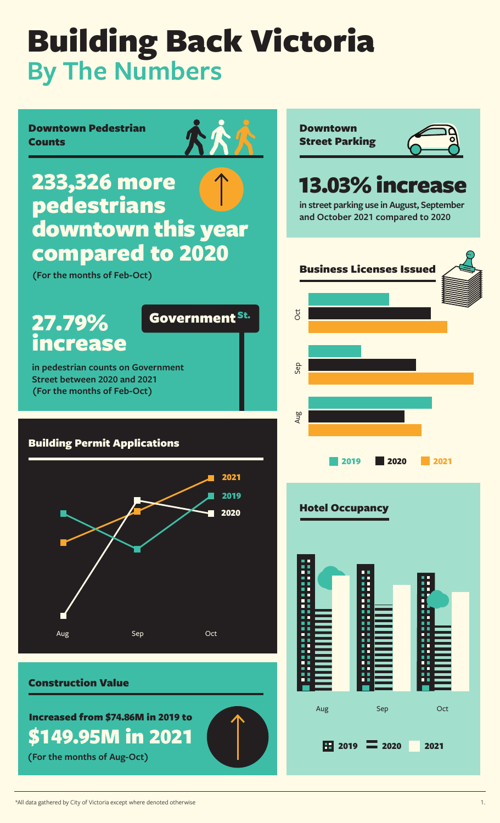Government St.

Downtown Pedestrian Counts

233,326 more pedestrians downtown this year compared to 2020

**(For the months of Feb-Oct)**

## 27.79% increase

**in pedestrian counts on Government Street between 2020 and 2021 (For the months of Feb-Oct)**

#### Building Permit Applications



#### Construction Value

Increased from \$74.86M in 2019 to \$149.95M in 2021

**(For the months of Aug-Oct)**



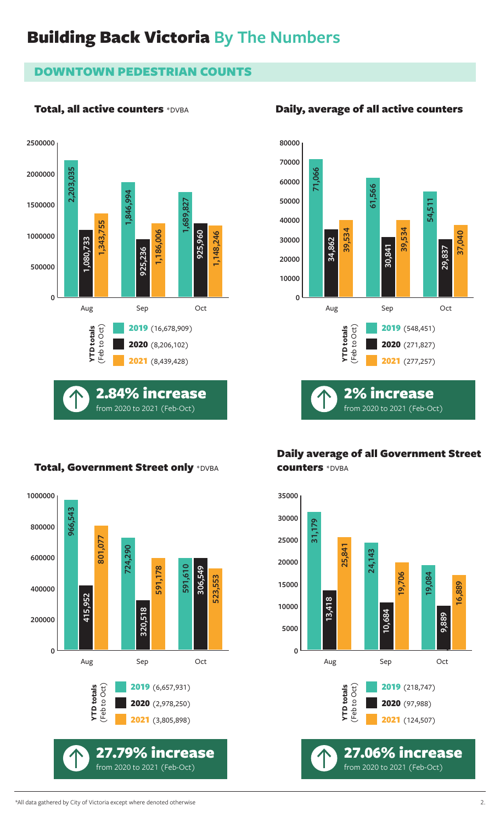#### DOWNTOWN PEDESTRIAN COUNTS

#### Total, all active counters \*DVBA





#### Daily average of all Government Street counters \*DVBA



#### Total, Government Street only \*DVBA



#### Daily, average of all active counters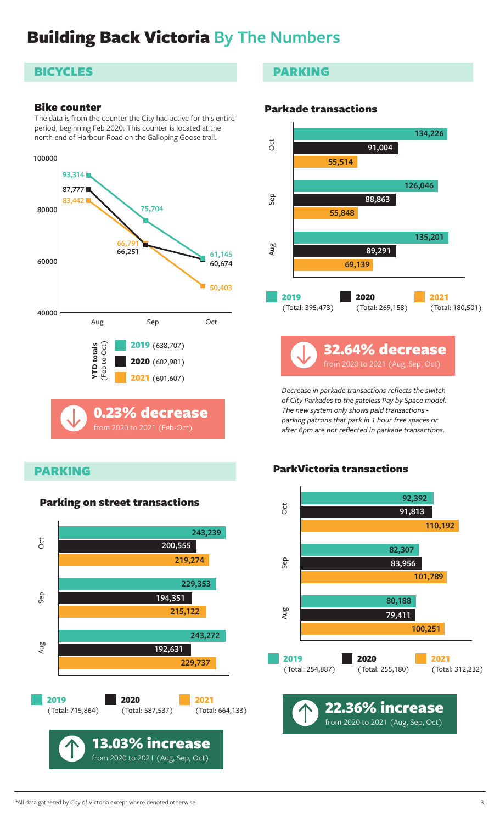#### **BICYCLES**

#### Bike counter

The data is from the counter the City had active for this entire period, beginning Feb 2020. This counter is located at the north end of Harbour Road on the Galloping Goose trail.



#### PARKING



#### PARKING

#### Parkade transactions



*Decrease in parkade transactions reflects the switch of City Parkades to the gateless Pay by Space model. The new system only shows paid transactions parking patrons that park in 1 hour free spaces or after 6pm are not reflected in parkade transactions.*

#### ParkVictoria transactions

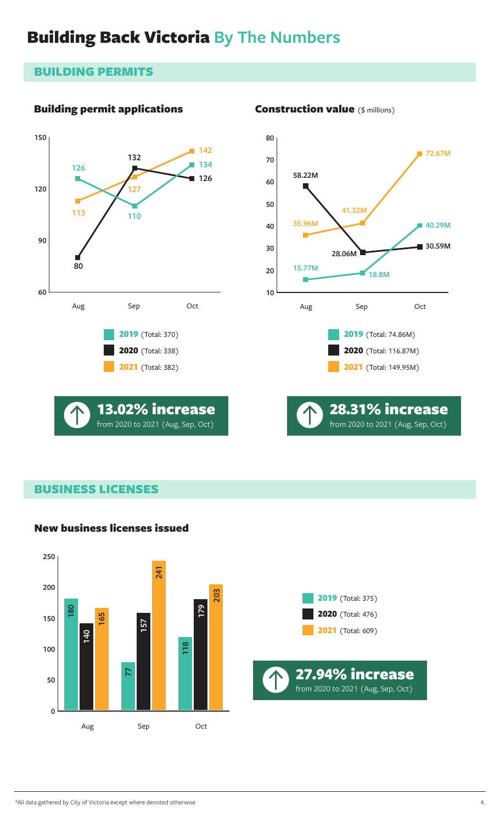#### BUILDING PERMITS

#### Building permit applications









#### BUSINESS LICENSES

#### New business licenses issued



#### Construction value (\$ millions)